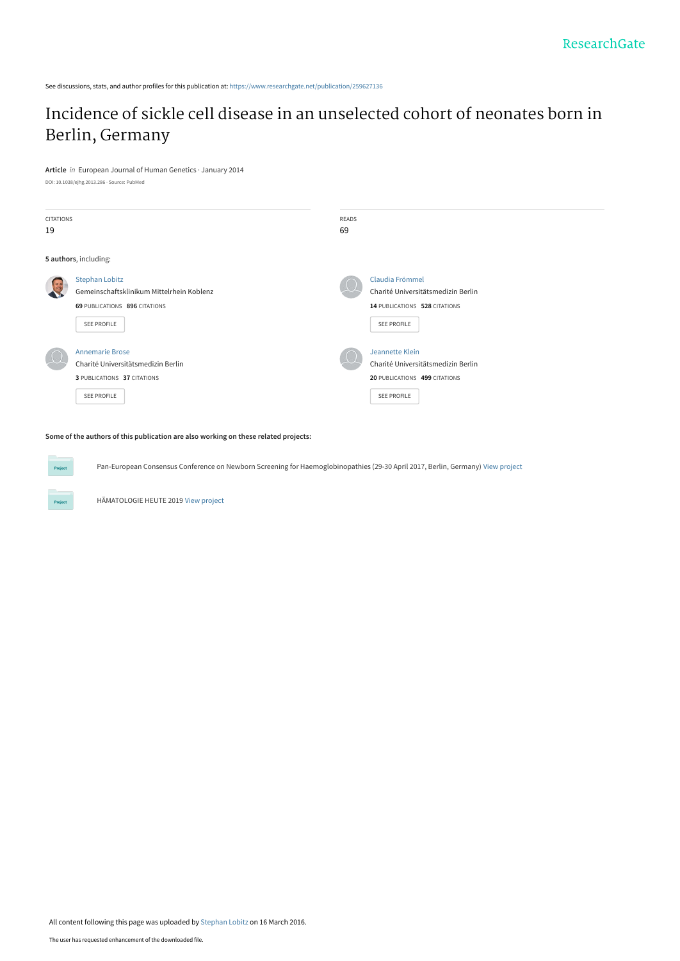See discussions, stats, and author profiles for this publication at: [https://www.researchgate.net/publication/259627136](https://www.researchgate.net/publication/259627136_Incidence_of_sickle_cell_disease_in_an_unselected_cohort_of_neonates_born_in_Berlin_Germany?enrichId=rgreq-c0bc98a4728abf4d3cbeda6961995146-XXX&enrichSource=Y292ZXJQYWdlOzI1OTYyNzEzNjtBUzozNDAzODQwMjc4MjQxMjhAMTQ1ODE2NTI4NDE5OA%3D%3D&el=1_x_2&_esc=publicationCoverPdf)

## [Incidence of sickle cell disease in an unselected cohort of neonates born in](https://www.researchgate.net/publication/259627136_Incidence_of_sickle_cell_disease_in_an_unselected_cohort_of_neonates_born_in_Berlin_Germany?enrichId=rgreq-c0bc98a4728abf4d3cbeda6961995146-XXX&enrichSource=Y292ZXJQYWdlOzI1OTYyNzEzNjtBUzozNDAzODQwMjc4MjQxMjhAMTQ1ODE2NTI4NDE5OA%3D%3D&el=1_x_3&_esc=publicationCoverPdf) Berlin, Germany

**Article** in European Journal of Human Genetics · January 2014

DOI: 10.1038/ejhg.2013.286 · Source: PubMed

**Project** 

| <b>CITATIONS</b><br>19 |                                                                                                                    | READS<br>69 |                                                                                                       |
|------------------------|--------------------------------------------------------------------------------------------------------------------|-------------|-------------------------------------------------------------------------------------------------------|
|                        | 5 authors, including:                                                                                              |             |                                                                                                       |
|                        | <b>Stephan Lobitz</b><br>Gemeinschaftsklinikum Mittelrhein Koblenz<br>69 PUBLICATIONS 896 CITATIONS<br>SEE PROFILE |             | Claudia Frömmel<br>Charité Universitätsmedizin Berlin<br>14 PUBLICATIONS 528 CITATIONS<br>SEE PROFILE |
|                        | <b>Annemarie Brose</b><br>Charité Universitätsmedizin Berlin<br>3 PUBLICATIONS 37 CITATIONS<br>SEE PROFILE         |             | Jeannette Klein<br>Charité Universitätsmedizin Berlin<br>20 PUBLICATIONS 499 CITATIONS<br>SEE PROFILE |

**Some of the authors of this publication are also working on these related projects:**

Pan-European Consensus Conference on Newborn Screening for Haemoglobinopathies (29-30 April 2017, Berlin, Germany) [View project](https://www.researchgate.net/project/Pan-European-Consensus-Conference-on-Newborn-Screening-for-Haemoglobinopathies-29-30-April-2017-Berlin-Germany?enrichId=rgreq-c0bc98a4728abf4d3cbeda6961995146-XXX&enrichSource=Y292ZXJQYWdlOzI1OTYyNzEzNjtBUzozNDAzODQwMjc4MjQxMjhAMTQ1ODE2NTI4NDE5OA%3D%3D&el=1_x_9&_esc=publicationCoverPdf)

HÄMATOLOGIE HEUTE 2019 [View project](https://www.researchgate.net/project/HAeMATOLOGIE-HEUTE-2019?enrichId=rgreq-c0bc98a4728abf4d3cbeda6961995146-XXX&enrichSource=Y292ZXJQYWdlOzI1OTYyNzEzNjtBUzozNDAzODQwMjc4MjQxMjhAMTQ1ODE2NTI4NDE5OA%3D%3D&el=1_x_9&_esc=publicationCoverPdf)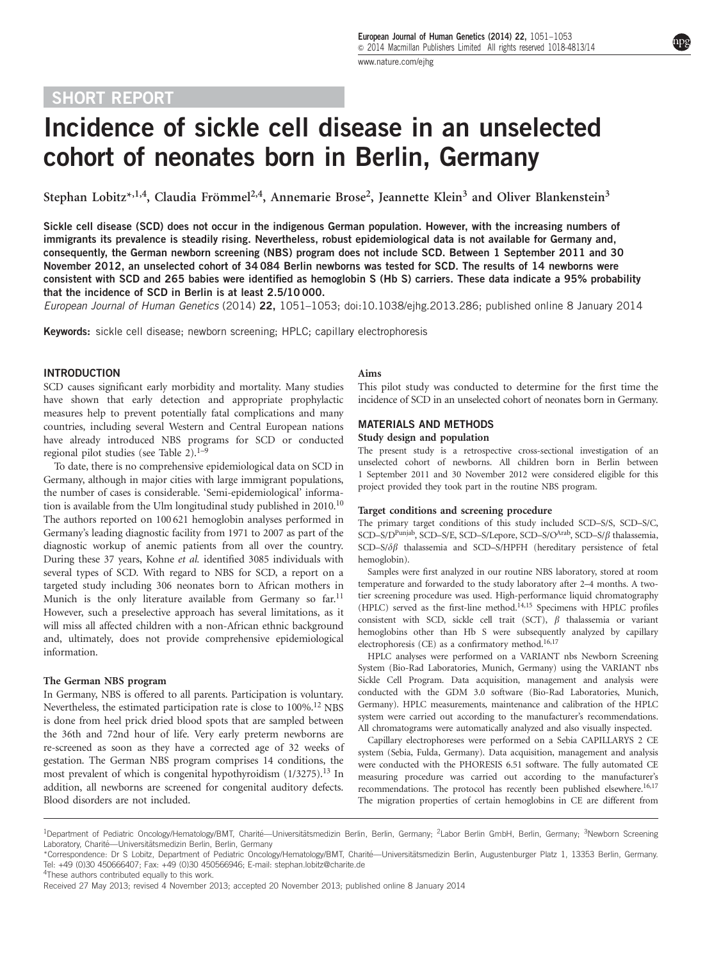### SHORT REPORT

# Incidence of sickle cell disease in an unselected cohort of neonates born in Berlin, Germany

Stephan Lobitz\*,<sup>1,4</sup>, Claudia Frömmel<sup>2,4</sup>, Annemarie Brose<sup>2</sup>, Jeannette Klein<sup>3</sup> and Oliver Blankenstein<sup>3</sup>

Sickle cell disease (SCD) does not occur in the indigenous German population. However, with the increasing numbers of immigrants its prevalence is steadily rising. Nevertheless, robust epidemiological data is not available for Germany and, consequently, the German newborn screening (NBS) program does not include SCD. Between 1 September 2011 and 30 November 2012, an unselected cohort of 34 084 Berlin newborns was tested for SCD. The results of 14 newborns were consistent with SCD and 265 babies were identified as hemoglobin S (Hb S) carriers. These data indicate a 95% probability that the incidence of SCD in Berlin is at least 2.5/10 000.

European Journal of Human Genetics (2014) 22, 1051–1053; doi:[10.1038/ejhg.2013.286;](http://dx.doi.org/10.1038/ejhg.2013.286) published online 8 January 2014

Keywords: sickle cell disease; newborn screening; HPLC; capillary electrophoresis

#### INTRODUCTION

SCD causes significant early morbidity and mortality. Many studies have shown that early detection and appropriate prophylactic measures help to prevent potentially fatal complications and many countries, including several Western and Central European nations have already introduced NBS programs for SCD or conducted regional pilot studies (see [Table 2](#page-2-0)).<sup>[1–9](#page-3-0)</sup>

To date, there is no comprehensive epidemiological data on SCD in Germany, although in major cities with large immigrant populations, the number of cases is considerable. 'Semi-epidemiological' informa-tion is available from the Ulm longitudinal study published in 20[10](#page-3-0).<sup>10</sup> The authors reported on 100 621 hemoglobin analyses performed in Germany's leading diagnostic facility from 1971 to 2007 as part of the diagnostic workup of anemic patients from all over the country. During these 37 years, Kohne et al. identified 3085 individuals with several types of SCD. With regard to NBS for SCD, a report on a targeted study including 306 neonates born to African mothers in Munich is the only literature available from Germany so  $far<sup>11</sup>$  $far<sup>11</sup>$  $far<sup>11</sup>$ However, such a preselective approach has several limitations, as it will miss all affected children with a non-African ethnic background and, ultimately, does not provide comprehensive epidemiological information.

#### The German NBS program

In Germany, NBS is offered to all parents. Participation is voluntary. Nevertheless, the estimated participation rate is close to 100%.<sup>12</sup> NBS is done from heel prick dried blood spots that are sampled between the 36th and 72nd hour of life. Very early preterm newborns are re-screened as soon as they have a corrected age of 32 weeks of gestation. The German NBS program comprises 14 conditions, the most prevalent of which is congenital hypothyroidism (1/3275).<sup>[13](#page-3-0)</sup> In addition, all newborns are screened for congenital auditory defects. Blood disorders are not included.

#### Aims

This pilot study was conducted to determine for the first time the incidence of SCD in an unselected cohort of neonates born in Germany.

#### MATERIALS AND METHODS

#### Study design and population

The present study is a retrospective cross-sectional investigation of an unselected cohort of newborns. All children born in Berlin between 1 September 2011 and 30 November 2012 were considered eligible for this project provided they took part in the routine NBS program.

#### Target conditions and screening procedure

The primary target conditions of this study included SCD–S/S, SCD–S/C, SCD–S/D<sup>Punjab</sup>, SCD–S/E, SCD–S/Lepore, SCD–S/O<sup>Arab</sup>, SCD–S/ $\beta$  thalassemia, SCD–S/ $\delta\beta$  thalassemia and SCD–S/HPFH (hereditary persistence of fetal hemoglobin).

Samples were first analyzed in our routine NBS laboratory, stored at room temperature and forwarded to the study laboratory after 2–4 months. A twotier screening procedure was used. High-performance liquid chromatography (HPLC) served as the first-line method[.14,15](#page-3-0) Specimens with HPLC profiles consistent with SCD, sickle cell trait (SCT),  $\beta$  thalassemia or variant hemoglobins other than Hb S were subsequently analyzed by capillary electrophoresis (CE) as a confirmatory method.<sup>16,17</sup>

HPLC analyses were performed on a VARIANT nbs Newborn Screening System (Bio-Rad Laboratories, Munich, Germany) using the VARIANT nbs Sickle Cell Program. Data acquisition, management and analysis were conducted with the GDM 3.0 software (Bio-Rad Laboratories, Munich, Germany). HPLC measurements, maintenance and calibration of the HPLC system were carried out according to the manufacturer's recommendations. All chromatograms were automatically analyzed and also visually inspected.

Capillary electrophoreses were performed on a Sebia CAPILLARYS 2 CE system (Sebia, Fulda, Germany). Data acquisition, management and analysis were conducted with the PHORESIS 6.51 software. The fully automated CE measuring procedure was carried out according to the manufacturer's recommendations. The protocol has recently been published elsewhere.<sup>16,17</sup> The migration properties of certain hemoglobins in CE are different from

<sup>4</sup>These authors contributed equally to this work.

<sup>&</sup>lt;sup>1</sup>Department of Pediatric Oncology/Hematology/BMT, Charité—Universitätsmedizin Berlin, Berlin, Germany; <sup>2</sup>Labor Berlin GmbH, Berlin, Germany; <sup>3</sup>Newborn Screening Laboratory, Charité-Universitätsmedizin Berlin, Berlin, Germany

<sup>\*</sup>Correspondence: Dr S Lobitz, Department of Pediatric Oncology/Hematology/BMT, Charité—Universitätsmedizin Berlin, Augustenburger Platz 1, 13353 Berlin, Germany. Tel: +49 (0)30 450666407; Fax: +49 (0)30 450566946; E-mail: [stephan.lobitz@charite.de](mailto:stephan.lobitz@charite.de)

Received 27 May 2013; revised 4 November 2013; accepted 20 November 2013; published online 8 January 2014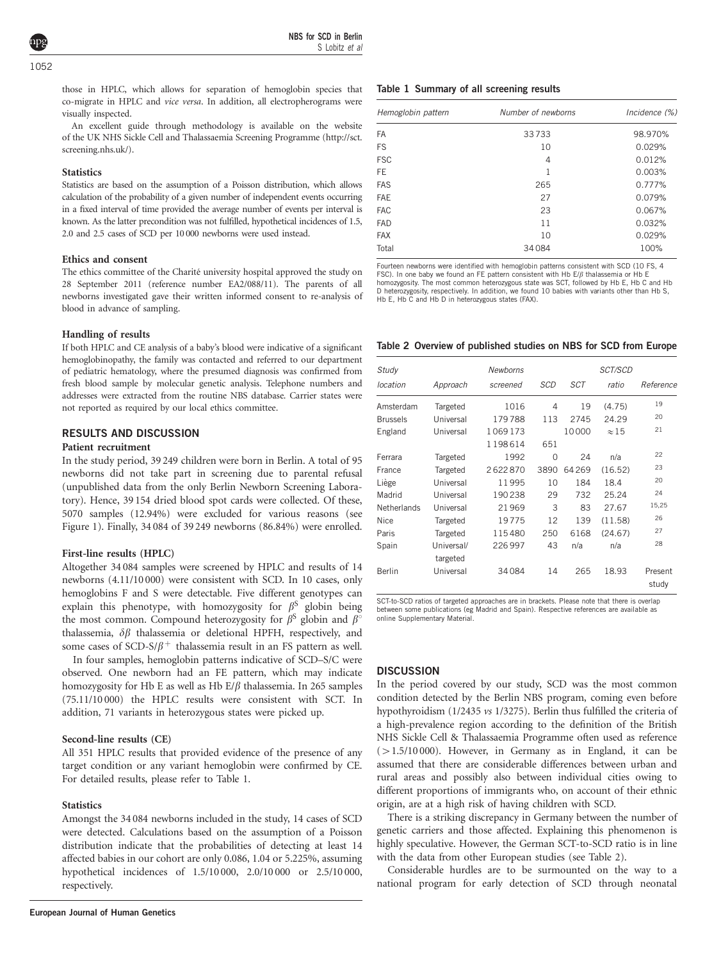<span id="page-2-0"></span>those in HPLC, which allows for separation of hemoglobin species that co-migrate in HPLC and vice versa. In addition, all electropherograms were visually inspected.

An excellent guide through methodology is available on the website of the UK NHS Sickle Cell and Thalassaemia Screening Programme [\(http://sct.](http://sct.screening.nhs.uk/) [screening.nhs.uk/\)](http://sct.screening.nhs.uk/).

#### **Statistics**

Statistics are based on the assumption of a Poisson distribution, which allows calculation of the probability of a given number of independent events occurring in a fixed interval of time provided the average number of events per interval is known. As the latter precondition was not fulfilled, hypothetical incidences of 1.5, 2.0 and 2.5 cases of SCD per 10 000 newborns were used instead.

#### Ethics and consent

The ethics committee of the Charité university hospital approved the study on 28 September 2011 (reference number EA2/088/11). The parents of all newborns investigated gave their written informed consent to re-analysis of blood in advance of sampling.

#### Handling of results

If both HPLC and CE analysis of a baby's blood were indicative of a significant hemoglobinopathy, the family was contacted and referred to our department of pediatric hematology, where the presumed diagnosis was confirmed from fresh blood sample by molecular genetic analysis. Telephone numbers and addresses were extracted from the routine NBS database. Carrier states were not reported as required by our local ethics committee.

#### RESULTS AND DISCUSSION

#### Patient recruitment

In the study period, 39 249 children were born in Berlin. A total of 95 newborns did not take part in screening due to parental refusal (unpublished data from the only Berlin Newborn Screening Laboratory). Hence, 39 154 dried blood spot cards were collected. Of these, 5070 samples (12.94%) were excluded for various reasons (see [Figure 1\)](#page-3-0). Finally, 34 084 of 39 249 newborns (86.84%) were enrolled.

#### First-line results (HPLC)

Altogether 34 084 samples were screened by HPLC and results of 14 newborns (4.11/10 000) were consistent with SCD. In 10 cases, only hemoglobins F and S were detectable. Five different genotypes can explain this phenotype, with homozygosity for  $\beta^S$  globin being the most common. Compound heterozygosity for  $\beta^S$  globin and  $\beta^{\circ}$ thalassemia,  $\delta\beta$  thalassemia or deletional HPFH, respectively, and some cases of SCD-S/ $\beta$ <sup>+</sup> thalassemia result in an FS pattern as well.

In four samples, hemoglobin patterns indicative of SCD–S/C were observed. One newborn had an FE pattern, which may indicate homozygosity for Hb E as well as Hb  $E/\beta$  thalassemia. In 265 samples (75.11/10 000) the HPLC results were consistent with SCT. In addition, 71 variants in heterozygous states were picked up.

#### Second-line results (CE)

All 351 HPLC results that provided evidence of the presence of any target condition or any variant hemoglobin were confirmed by CE. For detailed results, please refer to Table 1.

#### **Statistics**

Amongst the 34 084 newborns included in the study, 14 cases of SCD were detected. Calculations based on the assumption of a Poisson distribution indicate that the probabilities of detecting at least 14 affected babies in our cohort are only 0.086, 1.04 or 5.225%, assuming hypothetical incidences of 1.5/10 000, 2.0/10 000 or 2.5/10 000, respectively.

#### Table 1 Summary of all screening results

| Hemoglobin pattern | Number of newborns | Incidence (%) |  |
|--------------------|--------------------|---------------|--|
| <b>FA</b>          | 33733              | 98.970%       |  |
| <b>FS</b>          | 10                 | 0.029%        |  |
| <b>FSC</b>         | 4                  | 0.012%        |  |
| <b>FE</b>          | 1                  | 0.003%        |  |
| <b>FAS</b>         | 265                | 0.777%        |  |
| <b>FAE</b>         | 27                 | 0.079%        |  |
| <b>FAC</b>         | 23                 | 0.067%        |  |
| <b>FAD</b>         | 11                 | 0.032%        |  |
| <b>FAX</b>         | 10                 | 0.029%        |  |
| Total              | 34084              | 100%          |  |

Fourteen newborns were identified with hemoglobin patterns consistent with SCD (10 FS, 4 FSC). In one baby we found an FE pattern consistent with Hb E/ $\beta$  thalassemia or Hb E homozygosity. The most common heterozygous state was SCT, followed by Hb E, Hb C and Hb D heterozygosity, respectively. In addition, we found 10 babies with variants other than Hb S, Hb E, Hb C and Hb D in heterozygous states (FAX).

#### Table 2 Overview of published studies on NBS for SCD from Europe

| Study           |            | <b>Newborns</b> |                |            | SCT/SCD      |                  |  |
|-----------------|------------|-----------------|----------------|------------|--------------|------------------|--|
| location        | Approach   | screened        | SCD            | <b>SCT</b> | ratio        | Reference        |  |
| Amsterdam       | Targeted   | 1016            | $\overline{4}$ | 19         | (4.75)       | 19               |  |
| <b>Brussels</b> | Universal  | 179788          | 113            | 2745       | 24.29        | 20               |  |
| England         | Universal  | 1069173         |                | 10000      | $\approx$ 15 | 21               |  |
|                 |            | 1198614         | 651            |            |              |                  |  |
| Ferrara         | Targeted   | 1992            | $\Omega$       | 24         | n/a          | 22               |  |
| France          | Targeted   | 2622870         | 3890           | 64269      | (16.52)      | 23               |  |
| Liège           | Universal  | 11995           | 10             | 184        | 18.4         | 20               |  |
| Madrid          | Universal  | 190238          | 29             | 732        | 25.24        | 24               |  |
| Netherlands     | Universal  | 21969           | 3              | 83         | 27.67        | 15,25            |  |
| Nice            | Targeted   | 19775           | 12             | 139        | (11.58)      | 26               |  |
| Paris           | Targeted   | 115480          | 250            | 6168       | (24.67)      | 27               |  |
| Spain           | Universal/ | 226997          | 43             | n/a        | n/a          | 28               |  |
|                 | targeted   |                 |                |            |              |                  |  |
| Berlin          | Universal  | 34084           | 14             | 265        | 18.93        | Present<br>study |  |

SCT-to-SCD ratios of targeted approaches are in brackets. Please note that there is overlap between some publications (eg Madrid and Spain). Respective references are available as online Supplementary Material.

#### **DISCUSSION**

In the period covered by our study, SCD was the most common condition detected by the Berlin NBS program, coming even before hypothyroidism (1/2435 vs 1/3275). Berlin thus fulfilled the criteria of a high-prevalence region according to the definition of the British NHS Sickle Cell & Thalassaemia Programme often used as reference  $(>1.5/10 000)$ . However, in Germany as in England, it can be assumed that there are considerable differences between urban and rural areas and possibly also between individual cities owing to different proportions of immigrants who, on account of their ethnic origin, are at a high risk of having children with SCD.

There is a striking discrepancy in Germany between the number of genetic carriers and those affected. Explaining this phenomenon is highly speculative. However, the German SCT-to-SCD ratio is in line with the data from other European studies (see Table 2).

Considerable hurdles are to be surmounted on the way to a national program for early detection of SCD through neonatal